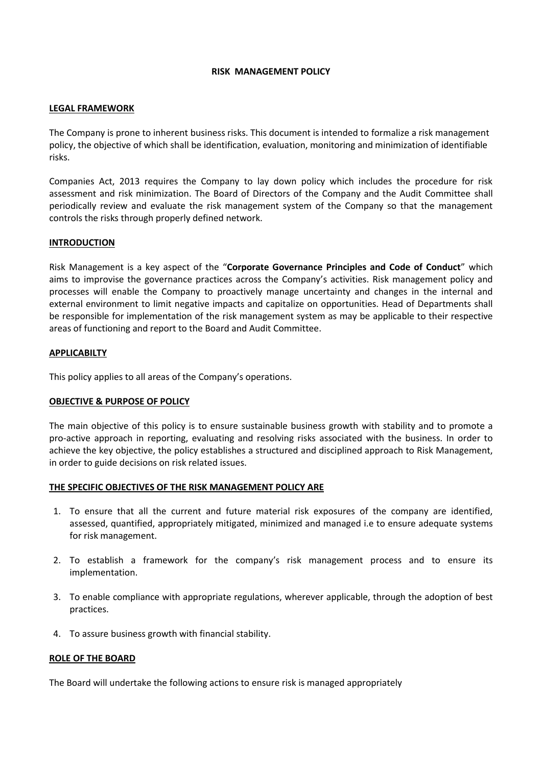#### **RISK MANAGEMENT POLICY**

### **LEGAL FRAMEWORK**

The Company is prone to inherent business risks. This document is intended to formalize a risk management policy, the objective of which shall be identification, evaluation, monitoring and minimization of identifiable risks.

Companies Act, 2013 requires the Company to lay down policy which includes the procedure for risk assessment and risk minimization. The Board of Directors of the Company and the Audit Committee shall periodically review and evaluate the risk management system of the Company so that the management controls the risks through properly defined network.

# **INTRODUCTION**

Risk Management is a key aspect of the "**Corporate Governance Principles and Code of Conduct**" which aims to improvise the governance practices across the Company's activities. Risk management policy and processes will enable the Company to proactively manage uncertainty and changes in the internal and external environment to limit negative impacts and capitalize on opportunities. Head of Departments shall be responsible for implementation of the risk management system as may be applicable to their respective areas of functioning and report to the Board and Audit Committee.

#### **APPLICABILTY**

This policy applies to all areas of the Company's operations.

# **OBJECTIVE & PURPOSE OF POLICY**

The main objective of this policy is to ensure sustainable business growth with stability and to promote a pro-active approach in reporting, evaluating and resolving risks associated with the business. In order to achieve the key objective, the policy establishes a structured and disciplined approach to Risk Management, in order to guide decisions on risk related issues.

# **THE SPECIFIC OBJECTIVES OF THE RISK MANAGEMENT POLICY ARE**

- 1. To ensure that all the current and future material risk exposures of the company are identified, assessed, quantified, appropriately mitigated, minimized and managed i.e to ensure adequate systems for risk management.
- 2. To establish a framework for the company's risk management process and to ensure its implementation.
- 3. To enable compliance with appropriate regulations, wherever applicable, through the adoption of best practices.
- 4. To assure business growth with financial stability.

#### **ROLE OF THE BOARD**

The Board will undertake the following actions to ensure risk is managed appropriately